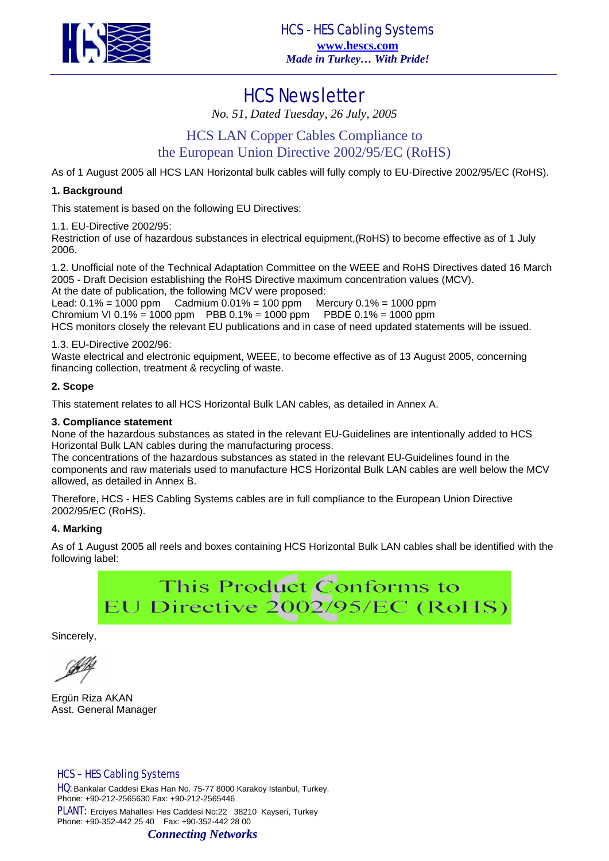

# HCS Newsletter

*No. 51, Dated Tuesday, 26 July, 2005* 

# HCS LAN Copper Cables Compliance to

# the European Union Directive 2002/95/EC (RoHS)

As of 1 August 2005 all HCS LAN Horizontal bulk cables will fully comply to EU-Directive 2002/95/EC (RoHS).

### **1. Background**

This statement is based on the following EU Directives:

1.1. EU-Directive 2002/95:

Restriction of use of hazardous substances in electrical equipment,(RoHS) to become effective as of 1 July 2006.

1.2. Unofficial note of the Technical Adaptation Committee on the WEEE and RoHS Directives dated 16 March 2005 - Draft Decision establishing the RoHS Directive maximum concentration values (MCV).

At the date of publication, the following MCV were proposed:

Lead:  $0.1\% = 1000$  ppm Cadmium  $0.01\% = 100$  ppm Mercury  $0.1\% = 1000$  ppm Chromium VI 0.1% = 1000 ppm PBB 0.1% = 1000 ppm PBDE 0.1% = 1000 ppm HCS monitors closely the relevant EU publications and in case of need updated statements will be issued.

### 1.3. EU-Directive 2002/96:

Waste electrical and electronic equipment, WEEE, to become effective as of 13 August 2005, concerning financing collection, treatment & recycling of waste.

### **2. Scope**

This statement relates to all HCS Horizontal Bulk LAN cables, as detailed in Annex A.

#### **3. Compliance statement**

None of the hazardous substances as stated in the relevant EU-Guidelines are intentionally added to HCS Horizontal Bulk LAN cables during the manufacturing process.

The concentrations of the hazardous substances as stated in the relevant EU-Guidelines found in the components and raw materials used to manufacture HCS Horizontal Bulk LAN cables are well below the MCV allowed, as detailed in Annex B.

Therefore, HCS - HES Cabling Systems cables are in full compliance to the European Union Directive 2002/95/EC (RoHS).

#### **4. Marking**

As of 1 August 2005 all reels and boxes containing HCS Horizontal Bulk LAN cables shall be identified with the following label:

> This Product Conforms to EU Directive 2002/95/EC (RoHS)

Sincerely,

Ergün Riza AKAN Asst. General Manager

#### HCS – HES Cabling Systems

HQ: Bankalar Caddesi Ekas Han No. 75-77 8000 Karakoy Istanbul, Turkey. Phone: +90-212-2565630 Fax: +90-212-2565446

PLANT: Erciyes Mahallesi Hes Caddesi No:22 38210 Kayseri, Turkey Phone: +90-352-442 25 40 Fax: +90-352-442 28 00 *Connecting Networks*